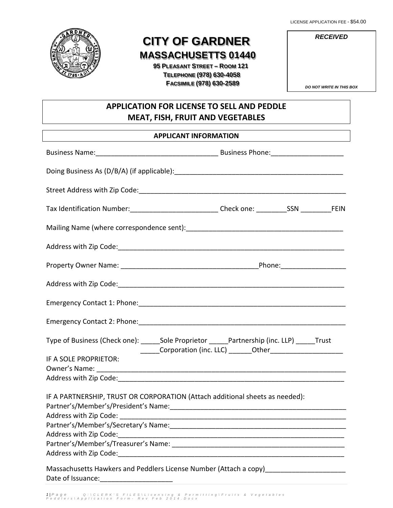LICENSE APPLICATION FEE - \$54.00



# **CITY OF GARDNER MASSACHUSETTS 01440**

 **95 PLEASANT STREET – ROOM 121 TELEPHONE (978) 630-4058 FACSIMILE (978) 630-2589**

| <b>RECEIVED</b> |  |
|-----------------|--|
|                 |  |
|                 |  |

*DO NOT WRITE IN THIS BOX*

# **APPLICATION FOR LICENSE TO SELL AND PEDDLE MEAT, FISH, FRUIT AND VEGETABLES**

|                                                                              | <b>APPLICANT INFORMATION</b>                                                                                   |
|------------------------------------------------------------------------------|----------------------------------------------------------------------------------------------------------------|
|                                                                              | Business Name: 1990 Manual Manual Manual Manual Musiness Phone: 2008. 2009. 2009. 2009. 2009. 2009. 2009. 2009 |
|                                                                              |                                                                                                                |
|                                                                              |                                                                                                                |
|                                                                              | Tax Identification Number:_____________________________Check one: _________SSN ___________FEIN                 |
|                                                                              |                                                                                                                |
|                                                                              |                                                                                                                |
|                                                                              |                                                                                                                |
|                                                                              |                                                                                                                |
|                                                                              |                                                                                                                |
|                                                                              |                                                                                                                |
|                                                                              | Type of Business (Check one): ______Sole Proprietor ______Partnership (inc. LLP) _____Trust                    |
| IF A SOLE PROPRIETOR:                                                        |                                                                                                                |
|                                                                              |                                                                                                                |
|                                                                              |                                                                                                                |
| IF A PARTNERSHIP, TRUST OR CORPORATION (Attach additional sheets as needed): |                                                                                                                |
|                                                                              |                                                                                                                |
|                                                                              |                                                                                                                |
| Address with Zip Code:                                                       |                                                                                                                |
|                                                                              |                                                                                                                |
|                                                                              |                                                                                                                |
|                                                                              |                                                                                                                |
| Date of Issuance:                                                            |                                                                                                                |

*1 | Page Q : \ CLERK'S FILES \ Licensing & Permitting \ Fruits & Vegetables Peddlers \ Application Form - Rev Feb 2014.Docx*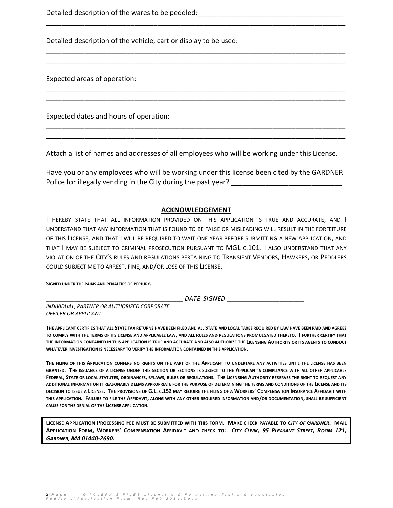Detailed description of the wares to be peddled: \_\_\_\_\_\_\_\_\_\_\_\_\_\_\_\_\_\_\_\_\_\_\_\_\_\_\_\_\_\_\_

Detailed description of the vehicle, cart or display to be used:

Expected areas of operation:

Expected dates and hours of operation:

Attach a list of names and addresses of all employees who will be working under this License.

\_\_\_\_\_\_\_\_\_\_\_\_\_\_\_\_\_\_\_\_\_\_\_\_\_\_\_\_\_\_\_\_\_\_\_\_\_\_\_\_\_\_\_\_\_\_\_\_\_\_\_\_\_\_\_\_\_\_\_\_\_\_\_\_\_\_\_\_\_\_\_\_\_\_\_\_\_\_

\_\_\_\_\_\_\_\_\_\_\_\_\_\_\_\_\_\_\_\_\_\_\_\_\_\_\_\_\_\_\_\_\_\_\_\_\_\_\_\_\_\_\_\_\_\_\_\_\_\_\_\_\_\_\_\_\_\_\_\_\_\_\_\_\_\_\_\_\_\_\_\_\_\_\_\_\_\_ \_\_\_\_\_\_\_\_\_\_\_\_\_\_\_\_\_\_\_\_\_\_\_\_\_\_\_\_\_\_\_\_\_\_\_\_\_\_\_\_\_\_\_\_\_\_\_\_\_\_\_\_\_\_\_\_\_\_\_\_\_\_\_\_\_\_\_\_\_\_\_\_\_\_\_\_\_\_

\_\_\_\_\_\_\_\_\_\_\_\_\_\_\_\_\_\_\_\_\_\_\_\_\_\_\_\_\_\_\_\_\_\_\_\_\_\_\_\_\_\_\_\_\_\_\_\_\_\_\_\_\_\_\_\_\_\_\_\_\_\_\_\_\_\_\_\_\_\_\_\_\_\_\_\_\_\_ \_\_\_\_\_\_\_\_\_\_\_\_\_\_\_\_\_\_\_\_\_\_\_\_\_\_\_\_\_\_\_\_\_\_\_\_\_\_\_\_\_\_\_\_\_\_\_\_\_\_\_\_\_\_\_\_\_\_\_\_\_\_\_\_\_\_\_\_\_\_\_\_\_\_\_\_\_\_

\_\_\_\_\_\_\_\_\_\_\_\_\_\_\_\_\_\_\_\_\_\_\_\_\_\_\_\_\_\_\_\_\_\_\_\_\_\_\_\_\_\_\_\_\_\_\_\_\_\_\_\_\_\_\_\_\_\_\_\_\_\_\_\_\_\_\_\_\_\_\_\_\_\_\_\_\_\_ \_\_\_\_\_\_\_\_\_\_\_\_\_\_\_\_\_\_\_\_\_\_\_\_\_\_\_\_\_\_\_\_\_\_\_\_\_\_\_\_\_\_\_\_\_\_\_\_\_\_\_\_\_\_\_\_\_\_\_\_\_\_\_\_\_\_\_\_\_\_\_\_\_\_\_\_\_\_

Have you or any employees who will be working under this license been cited by the GARDNER Police for illegally vending in the City during the past year?

#### **ACKNOWLEDGEMENT**

I HEREBY STATE THAT ALL INFORMATION PROVIDED ON THIS APPLICATION IS TRUE AND ACCURATE, AND I UNDERSTAND THAT ANY INFORMATION THAT IS FOUND TO BE FALSE OR MISLEADING WILL RESULT IN THE FORFEITURE OF THIS LICENSE, AND THAT I WILL BE REQUIRED TO WAIT ONE YEAR BEFORE SUBMITTING A NEW APPLICATION, AND THAT I MAY BE SUBJECT TO CRIMINAL PROSECUTION PURSUANT TO MGL C.101. I ALSO UNDERSTAND THAT ANY VIOLATION OF THE CITY'S RULES AND REGULATIONS PERTAINING TO TRANSIENT VENDORS, HAWKERS, OR PEDDLERS COULD SUBJECT ME TO ARREST, FINE, AND/OR LOSS OF THIS LICENSE.

**SIGNED UNDER THE PAINS AND PENALTIES OF PERJURY.**

\_\_\_\_\_\_\_\_\_\_\_\_\_\_\_\_\_\_\_\_\_\_\_\_\_\_\_\_\_\_\_\_\_\_\_\_\_\_\_ *DATE SIGNED* \_\_\_\_\_\_\_\_\_\_\_\_\_\_\_\_\_\_\_\_\_\_

*INDIVIDUAL, PARTNER OR AUTHORIZED CORPORATE OFFICER OR APPLICANT*

**THE APPLICANT CERTIFIES THAT ALL STATE TAX RETURNS HAVE BEEN FILED AND ALL STATE AND LOCAL TAXES REQUIRED BY LAW HAVE BEEN PAID AND AGREES TO COMPLY WITH THE TERMS OF ITS LICENSE AND APPLICABLE LAW, AND ALL RULES AND REGULATIONS PROMULGATED THERETO. I FURTHER CERTIFY THAT THE INFORMATION CONTAINED IN THIS APPLICATION IS TRUE AND ACCURATE AND ALSO AUTHORIZE THE LICENSING AUTHORITY OR ITS AGENTS TO CONDUCT WHATEVER INVESTIGATION IS NECESSARY TO VERIFY THE INFORMATION CONTAINED IN THIS APPLICATION.**

**THE FILING OF THIS APPLICATION CONFERS NO RIGHTS ON THE PART OF THE APPLICANT TO UNDERTAKE ANY ACTIVITIES UNTIL THE LICENSE HAS BEEN GRANTED. THE ISSUANCE OF A LICENSE UNDER THIS SECTION OR SECTIONS IS SUBJECT TO THE APPLICANT'S COMPLIANCE WITH ALL OTHER APPLICABLE FEDERAL, STATE OR LOCAL STATUTES, ORDINANCES, BYLAWS, RULES OR REGULATIONS. THE LICENSING AUTHORITY RESERVES THE RIGHT TO REQUEST ANY ADDITIONAL INFORMATION IT REASONABLY DEEMS APPROPRIATE FOR THE PURPOSE OF DETERMINING THE TERMS AND CONDITIONS OF THE LICENSE AND ITS DECISION TO ISSUE A LICENSE. THE PROVISIONS OF G.L. C.152 MAY REQUIRE THE FILING OF A WORKERS' COMPENSATION INSURANCE AFFIDAVIT WITH THIS APPLICATION. FAILURE TO FILE THE AFFIDAVIT, ALONG WITH ANY OTHER REQUIRED INFORMATION AND/OR DOCUMENTATION, SHALL BE SUFFICIENT CAUSE FOR THE DENIAL OF THE LICENSE APPLICATION.**

**LICENSE APPLICATION PROCESSING FEE MUST BE SUBMITTED WITH THIS FORM. MAKE CHECK PAYABLE TO** *CITY OF GARDNER***. MAIL APPLICATION FORM, WORKERS' COMPENSATION AFFIDAVIT AND CHECK TO:** *CITY CLERK, 95 PLEASANT STREET, ROOM 121, GARDNER, MA 01440-2690.*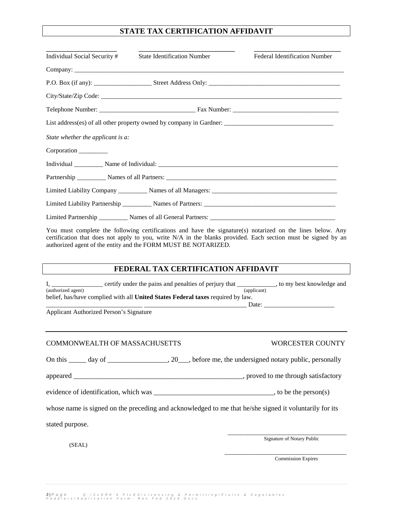## **STATE TAX CERTIFICATION AFFIDAVIT**

| Individual Social Security #      | <b>State Identification Number</b>                                                                        | <b>Federal Identification Number</b> |
|-----------------------------------|-----------------------------------------------------------------------------------------------------------|--------------------------------------|
|                                   |                                                                                                           |                                      |
|                                   |                                                                                                           |                                      |
|                                   |                                                                                                           |                                      |
|                                   |                                                                                                           |                                      |
|                                   |                                                                                                           |                                      |
| State whether the applicant is a: |                                                                                                           |                                      |
| Corporation                       |                                                                                                           |                                      |
|                                   |                                                                                                           |                                      |
|                                   |                                                                                                           |                                      |
|                                   |                                                                                                           |                                      |
|                                   |                                                                                                           |                                      |
|                                   |                                                                                                           |                                      |
|                                   | You must complete the following certifications and have the signature(s) notarized on the lines below. An |                                      |

You must complete the following certifications and have the signature(s) notarized on the lines below. Any certification that does not apply to you, write N/A in the blanks provided. Each section must be signed by an authorized agent of the entity and the FORM MUST BE NOTARIZED.

#### **FEDERAL TAX CERTIFICATION AFFIDAVIT**

|                    | certify under the pains and penalties of perjury that                           | to my best knowledge and |
|--------------------|---------------------------------------------------------------------------------|--------------------------|
| (authorized agent) |                                                                                 | (applicant)              |
|                    | belief, has/have complied with all United States Federal taxes required by law. |                          |

Applicant Authorized Person's Signature

#### COMMONWEALTH OF MASSACHUSETTS WORCESTER COUNTY

 $\text{Date:}$ 

On this \_\_\_\_\_ day of \_\_\_\_\_\_\_\_\_\_\_\_\_\_\_, 20\_\_\_, before me, the undersigned notary public, personally

appeared \_\_\_\_\_\_\_\_\_\_\_\_\_\_\_\_\_\_\_\_\_\_\_\_\_\_\_\_\_\_\_\_\_\_\_\_\_\_\_\_\_\_\_\_\_\_\_\_, proved to me through satisfactory

evidence of identification, which was \_\_\_\_\_\_\_\_\_\_\_\_\_\_\_\_\_\_\_\_\_\_\_\_\_\_\_\_\_\_\_\_\_\_, to be the person(s)

whose name is signed on the preceding and acknowledged to me that he/she signed it voluntarily for its

stated purpose.

Signature of Notary Public

(SEAL)

\_\_\_\_\_\_\_\_\_\_\_\_\_\_\_\_\_\_\_\_\_\_\_\_\_\_\_\_\_\_\_\_\_\_\_\_\_\_ Commission Expires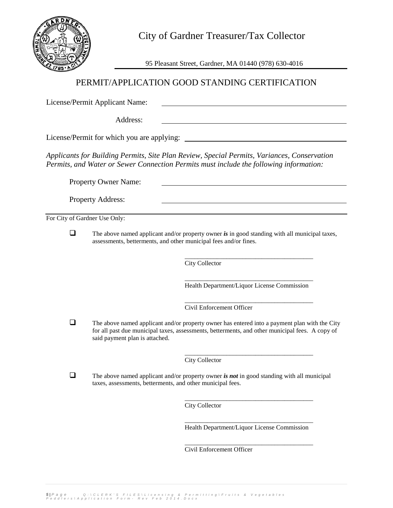

95 Pleasant Street, Gardner, MA 01440 (978) 630-4016

# PERMIT/APPLICATION GOOD STANDING CERTIFICATION

License/Permit Applicant Name:

Address:

License/Permit for which you are applying:

*Applicants for Building Permits, Site Plan Review, Special Permits, Variances, Conservation Permits, and Water or Sewer Connection Permits must include the following information:*

Property Owner Name:

Property Address:

For City of Gardner Use Only:

 The above named applicant and/or property owner *is* in good standing with all municipal taxes, assessments, betterments, and other municipal fees and/or fines.

> \_\_\_\_\_\_\_\_\_\_\_\_\_\_\_\_\_\_\_\_\_\_\_\_\_\_\_\_\_\_\_\_\_\_\_\_\_\_\_\_ City Collector

> \_\_\_\_\_\_\_\_\_\_\_\_\_\_\_\_\_\_\_\_\_\_\_\_\_\_\_\_\_\_\_\_\_\_\_\_\_\_\_\_ Health Department/Liquor License Commission

> \_\_\_\_\_\_\_\_\_\_\_\_\_\_\_\_\_\_\_\_\_\_\_\_\_\_\_\_\_\_\_\_\_\_\_\_\_\_\_\_ Civil Enforcement Officer

 $\Box$  The above named applicant and/or property owner has entered into a payment plan with the City for all past due municipal taxes, assessments, betterments, and other municipal fees. A copy of said payment plan is attached.

> \_\_\_\_\_\_\_\_\_\_\_\_\_\_\_\_\_\_\_\_\_\_\_\_\_\_\_\_\_\_\_\_\_\_\_\_\_\_\_\_ City Collector

 $\Box$  The above named applicant and/or property owner *is not* in good standing with all municipal taxes, assessments, betterments, and other municipal fees.

> \_\_\_\_\_\_\_\_\_\_\_\_\_\_\_\_\_\_\_\_\_\_\_\_\_\_\_\_\_\_\_\_\_\_\_\_\_\_\_\_ City Collector

> \_\_\_\_\_\_\_\_\_\_\_\_\_\_\_\_\_\_\_\_\_\_\_\_\_\_\_\_\_\_\_\_\_\_\_\_\_\_\_\_ Health Department/Liquor License Commission

> \_\_\_\_\_\_\_\_\_\_\_\_\_\_\_\_\_\_\_\_\_\_\_\_\_\_\_\_\_\_\_\_\_\_\_\_\_\_\_\_ Civil Enforcement Officer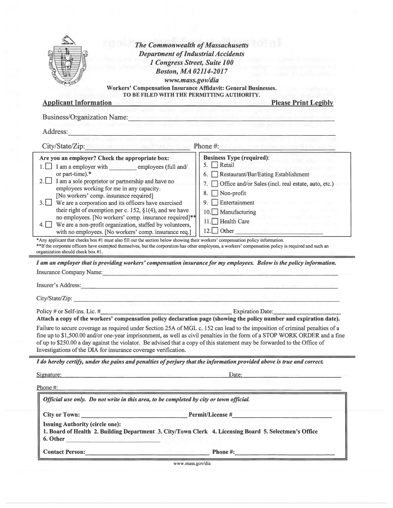|                                                                                                                                                                                                                                                                                                                                                                                                                                                                                                                                                                                                                                                                                                                                                                                                                                                                                                                                                                                                                                                                                                                                                                                                                                                                                                                                                                                                                                                                                                                                                                                                                                                                                                                                                                                             | <b>Department of Industrial Accidents</b><br>1 Congress Street, Suite 100                                                                  |
|---------------------------------------------------------------------------------------------------------------------------------------------------------------------------------------------------------------------------------------------------------------------------------------------------------------------------------------------------------------------------------------------------------------------------------------------------------------------------------------------------------------------------------------------------------------------------------------------------------------------------------------------------------------------------------------------------------------------------------------------------------------------------------------------------------------------------------------------------------------------------------------------------------------------------------------------------------------------------------------------------------------------------------------------------------------------------------------------------------------------------------------------------------------------------------------------------------------------------------------------------------------------------------------------------------------------------------------------------------------------------------------------------------------------------------------------------------------------------------------------------------------------------------------------------------------------------------------------------------------------------------------------------------------------------------------------------------------------------------------------------------------------------------------------|--------------------------------------------------------------------------------------------------------------------------------------------|
|                                                                                                                                                                                                                                                                                                                                                                                                                                                                                                                                                                                                                                                                                                                                                                                                                                                                                                                                                                                                                                                                                                                                                                                                                                                                                                                                                                                                                                                                                                                                                                                                                                                                                                                                                                                             | <b>Boston, MA 02114-2017</b>                                                                                                               |
|                                                                                                                                                                                                                                                                                                                                                                                                                                                                                                                                                                                                                                                                                                                                                                                                                                                                                                                                                                                                                                                                                                                                                                                                                                                                                                                                                                                                                                                                                                                                                                                                                                                                                                                                                                                             | www.mass.gov/dia                                                                                                                           |
|                                                                                                                                                                                                                                                                                                                                                                                                                                                                                                                                                                                                                                                                                                                                                                                                                                                                                                                                                                                                                                                                                                                                                                                                                                                                                                                                                                                                                                                                                                                                                                                                                                                                                                                                                                                             | Workers' Compensation Insurance Affidavit: General Businesses.                                                                             |
| <b>Applicant Information</b>                                                                                                                                                                                                                                                                                                                                                                                                                                                                                                                                                                                                                                                                                                                                                                                                                                                                                                                                                                                                                                                                                                                                                                                                                                                                                                                                                                                                                                                                                                                                                                                                                                                                                                                                                                | TO BE FILED WITH THE PERMITTING AUTHORITY.<br><b>Please Print Legibly</b><br>At the anticol state horizontal displacement in state funding |
|                                                                                                                                                                                                                                                                                                                                                                                                                                                                                                                                                                                                                                                                                                                                                                                                                                                                                                                                                                                                                                                                                                                                                                                                                                                                                                                                                                                                                                                                                                                                                                                                                                                                                                                                                                                             |                                                                                                                                            |
| <b>Business/Organization Name:</b> Name:                                                                                                                                                                                                                                                                                                                                                                                                                                                                                                                                                                                                                                                                                                                                                                                                                                                                                                                                                                                                                                                                                                                                                                                                                                                                                                                                                                                                                                                                                                                                                                                                                                                                                                                                                    |                                                                                                                                            |
| Address:                                                                                                                                                                                                                                                                                                                                                                                                                                                                                                                                                                                                                                                                                                                                                                                                                                                                                                                                                                                                                                                                                                                                                                                                                                                                                                                                                                                                                                                                                                                                                                                                                                                                                                                                                                                    |                                                                                                                                            |
| City/State/Zip: New York and March 1982 and Phone #: 1983 and 2009 and 2009 and 2009                                                                                                                                                                                                                                                                                                                                                                                                                                                                                                                                                                                                                                                                                                                                                                                                                                                                                                                                                                                                                                                                                                                                                                                                                                                                                                                                                                                                                                                                                                                                                                                                                                                                                                        |                                                                                                                                            |
| Are you an employer? Check the appropriate box:                                                                                                                                                                                                                                                                                                                                                                                                                                                                                                                                                                                                                                                                                                                                                                                                                                                                                                                                                                                                                                                                                                                                                                                                                                                                                                                                                                                                                                                                                                                                                                                                                                                                                                                                             | <b>Business Type (required):</b>                                                                                                           |
| I am a employer with employees (full and/                                                                                                                                                                                                                                                                                                                                                                                                                                                                                                                                                                                                                                                                                                                                                                                                                                                                                                                                                                                                                                                                                                                                                                                                                                                                                                                                                                                                                                                                                                                                                                                                                                                                                                                                                   | 5. Retail                                                                                                                                  |
| or part-time).*                                                                                                                                                                                                                                                                                                                                                                                                                                                                                                                                                                                                                                                                                                                                                                                                                                                                                                                                                                                                                                                                                                                                                                                                                                                                                                                                                                                                                                                                                                                                                                                                                                                                                                                                                                             | Restaurant/Bar/Eating Establishment<br>6.                                                                                                  |
| I am a sole proprietor or partnership and have no<br>$2.1 \perp$                                                                                                                                                                                                                                                                                                                                                                                                                                                                                                                                                                                                                                                                                                                                                                                                                                                                                                                                                                                                                                                                                                                                                                                                                                                                                                                                                                                                                                                                                                                                                                                                                                                                                                                            | Office and/or Sales (incl. real estate, auto, etc.)<br>7.                                                                                  |
| employees working for me in any capacity.<br>[No workers' comp. insurance required]                                                                                                                                                                                                                                                                                                                                                                                                                                                                                                                                                                                                                                                                                                                                                                                                                                                                                                                                                                                                                                                                                                                                                                                                                                                                                                                                                                                                                                                                                                                                                                                                                                                                                                         | Non-profit<br>8.                                                                                                                           |
| We are a corporation and its officers have exercised<br>$3.1 \perp$                                                                                                                                                                                                                                                                                                                                                                                                                                                                                                                                                                                                                                                                                                                                                                                                                                                                                                                                                                                                                                                                                                                                                                                                                                                                                                                                                                                                                                                                                                                                                                                                                                                                                                                         | Entertainment<br>9.                                                                                                                        |
| their right of exemption per c. 152, $\S1(4)$ , and we have                                                                                                                                                                                                                                                                                                                                                                                                                                                                                                                                                                                                                                                                                                                                                                                                                                                                                                                                                                                                                                                                                                                                                                                                                                                                                                                                                                                                                                                                                                                                                                                                                                                                                                                                 | 10. Manufacturing                                                                                                                          |
| no employees. [No workers' comp. insurance required]**                                                                                                                                                                                                                                                                                                                                                                                                                                                                                                                                                                                                                                                                                                                                                                                                                                                                                                                                                                                                                                                                                                                                                                                                                                                                                                                                                                                                                                                                                                                                                                                                                                                                                                                                      | 11. Health Care                                                                                                                            |
| We are a non-profit organization, staffed by volunteers,<br>with no employees. [No workers' comp. insurance req.]                                                                                                                                                                                                                                                                                                                                                                                                                                                                                                                                                                                                                                                                                                                                                                                                                                                                                                                                                                                                                                                                                                                                                                                                                                                                                                                                                                                                                                                                                                                                                                                                                                                                           |                                                                                                                                            |
|                                                                                                                                                                                                                                                                                                                                                                                                                                                                                                                                                                                                                                                                                                                                                                                                                                                                                                                                                                                                                                                                                                                                                                                                                                                                                                                                                                                                                                                                                                                                                                                                                                                                                                                                                                                             |                                                                                                                                            |
|                                                                                                                                                                                                                                                                                                                                                                                                                                                                                                                                                                                                                                                                                                                                                                                                                                                                                                                                                                                                                                                                                                                                                                                                                                                                                                                                                                                                                                                                                                                                                                                                                                                                                                                                                                                             | 12. Other                                                                                                                                  |
|                                                                                                                                                                                                                                                                                                                                                                                                                                                                                                                                                                                                                                                                                                                                                                                                                                                                                                                                                                                                                                                                                                                                                                                                                                                                                                                                                                                                                                                                                                                                                                                                                                                                                                                                                                                             |                                                                                                                                            |
|                                                                                                                                                                                                                                                                                                                                                                                                                                                                                                                                                                                                                                                                                                                                                                                                                                                                                                                                                                                                                                                                                                                                                                                                                                                                                                                                                                                                                                                                                                                                                                                                                                                                                                                                                                                             |                                                                                                                                            |
|                                                                                                                                                                                                                                                                                                                                                                                                                                                                                                                                                                                                                                                                                                                                                                                                                                                                                                                                                                                                                                                                                                                                                                                                                                                                                                                                                                                                                                                                                                                                                                                                                                                                                                                                                                                             |                                                                                                                                            |
|                                                                                                                                                                                                                                                                                                                                                                                                                                                                                                                                                                                                                                                                                                                                                                                                                                                                                                                                                                                                                                                                                                                                                                                                                                                                                                                                                                                                                                                                                                                                                                                                                                                                                                                                                                                             |                                                                                                                                            |
|                                                                                                                                                                                                                                                                                                                                                                                                                                                                                                                                                                                                                                                                                                                                                                                                                                                                                                                                                                                                                                                                                                                                                                                                                                                                                                                                                                                                                                                                                                                                                                                                                                                                                                                                                                                             |                                                                                                                                            |
|                                                                                                                                                                                                                                                                                                                                                                                                                                                                                                                                                                                                                                                                                                                                                                                                                                                                                                                                                                                                                                                                                                                                                                                                                                                                                                                                                                                                                                                                                                                                                                                                                                                                                                                                                                                             |                                                                                                                                            |
| $m_{\rm Pl}$ is because and be a set of $m_{\rm Pl}$ , and $m_{\rm Pl}$ , while                                                                                                                                                                                                                                                                                                                                                                                                                                                                                                                                                                                                                                                                                                                                                                                                                                                                                                                                                                                                                                                                                                                                                                                                                                                                                                                                                                                                                                                                                                                                                                                                                                                                                                             |                                                                                                                                            |
|                                                                                                                                                                                                                                                                                                                                                                                                                                                                                                                                                                                                                                                                                                                                                                                                                                                                                                                                                                                                                                                                                                                                                                                                                                                                                                                                                                                                                                                                                                                                                                                                                                                                                                                                                                                             | Expiration Date:                                                                                                                           |
|                                                                                                                                                                                                                                                                                                                                                                                                                                                                                                                                                                                                                                                                                                                                                                                                                                                                                                                                                                                                                                                                                                                                                                                                                                                                                                                                                                                                                                                                                                                                                                                                                                                                                                                                                                                             |                                                                                                                                            |
|                                                                                                                                                                                                                                                                                                                                                                                                                                                                                                                                                                                                                                                                                                                                                                                                                                                                                                                                                                                                                                                                                                                                                                                                                                                                                                                                                                                                                                                                                                                                                                                                                                                                                                                                                                                             |                                                                                                                                            |
|                                                                                                                                                                                                                                                                                                                                                                                                                                                                                                                                                                                                                                                                                                                                                                                                                                                                                                                                                                                                                                                                                                                                                                                                                                                                                                                                                                                                                                                                                                                                                                                                                                                                                                                                                                                             |                                                                                                                                            |
|                                                                                                                                                                                                                                                                                                                                                                                                                                                                                                                                                                                                                                                                                                                                                                                                                                                                                                                                                                                                                                                                                                                                                                                                                                                                                                                                                                                                                                                                                                                                                                                                                                                                                                                                                                                             |                                                                                                                                            |
|                                                                                                                                                                                                                                                                                                                                                                                                                                                                                                                                                                                                                                                                                                                                                                                                                                                                                                                                                                                                                                                                                                                                                                                                                                                                                                                                                                                                                                                                                                                                                                                                                                                                                                                                                                                             | fine up to \$1,500.00 and/or one-year imprisonment, as well as civil penalties in the form of a STOP WORK ORDER and a fine                 |
|                                                                                                                                                                                                                                                                                                                                                                                                                                                                                                                                                                                                                                                                                                                                                                                                                                                                                                                                                                                                                                                                                                                                                                                                                                                                                                                                                                                                                                                                                                                                                                                                                                                                                                                                                                                             | Date:                                                                                                                                      |
|                                                                                                                                                                                                                                                                                                                                                                                                                                                                                                                                                                                                                                                                                                                                                                                                                                                                                                                                                                                                                                                                                                                                                                                                                                                                                                                                                                                                                                                                                                                                                                                                                                                                                                                                                                                             |                                                                                                                                            |
| Official use only. Do not write in this area, to be completed by city or town official.                                                                                                                                                                                                                                                                                                                                                                                                                                                                                                                                                                                                                                                                                                                                                                                                                                                                                                                                                                                                                                                                                                                                                                                                                                                                                                                                                                                                                                                                                                                                                                                                                                                                                                     |                                                                                                                                            |
|                                                                                                                                                                                                                                                                                                                                                                                                                                                                                                                                                                                                                                                                                                                                                                                                                                                                                                                                                                                                                                                                                                                                                                                                                                                                                                                                                                                                                                                                                                                                                                                                                                                                                                                                                                                             |                                                                                                                                            |
| <b>Issuing Authority (circle one):</b>                                                                                                                                                                                                                                                                                                                                                                                                                                                                                                                                                                                                                                                                                                                                                                                                                                                                                                                                                                                                                                                                                                                                                                                                                                                                                                                                                                                                                                                                                                                                                                                                                                                                                                                                                      |                                                                                                                                            |
| *Any applicant that checks box #1 must also fill out the section below showing their workers' compensation policy information.<br>**If the corporate officers have exempted themselves, but the corporation has other employees, a workers' compensation policy is required and such an<br>organization should check box #1.<br>I am an employer that is providing workers' compensation insurance for my employees. Below is the policy information.<br>Insurance Company Name: Name: 1986 and 2008. The Company Name: 1986. The Company Name: 1987. The Company Name: 1987. The Company Name: 1987. The Company Name: 1988. The Company Name: 1988. The Company Name: 1988. The Compa<br>Insurer's Address: National Communication of the Communication of the Communication of the Communication of the Communication of the Communication of the Communication of the Communication of the Communication of the Commu<br>City/State/Zip:<br>Policy # or Self-ins. Lic. $#$<br>Attach a copy of the workers' compensation policy declaration page (showing the policy number and expiration date).<br>Failure to secure coverage as required under Section 25A of MGL c. 152 can lead to the imposition of criminal penalties of a<br>of up to \$250.00 a day against the violator. Be advised that a copy of this statement may be forwarded to the Office of<br>Investigations of the DIA for insurance coverage verification.<br>I do hereby certify, under the pains and penalties of perjury that the information provided above is true and correct.<br>Signature: 100 million and 100 million and 100 million and 100 million and 100 million<br>Phone $#$ :<br>1. Board of Health 2. Building Department 3. City/Town Clerk 4. Licensing Board 5. Selectmen's Office<br>6. Other |                                                                                                                                            |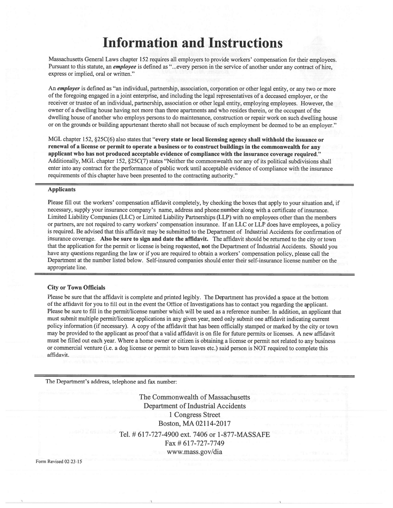# **Information and Instructions**

Massachusetts General Laws chapter 152 requires all employers to provide workers' compensation for their employees. Pursuant to this statute, an *employee* is defined as "...every person in the service of another under any contract of hire, express or implied, oral or written."

An employer is defined as "an individual, partnership, association, corporation or other legal entity, or any two or more of the foregoing engaged in a joint enterprise, and including the legal representatives of a deceased employer, or the receiver or trustee of an individual, partnership, association or other legal entity, employing employees. However, the owner of a dwelling house having not more than three apartments and who resides therein, or the occupant of the dwelling house of another who employs persons to do maintenance, construction or repair work on such dwelling house or on the grounds or building appurtenant thereto shall not because of such employment be deemed to be an employer."

MGL chapter 152, §25C(6) also states that "every state or local licensing agency shall withhold the issuance or renewal of a license or permit to operate a business or to construct buildings in the commonwealth for any applicant who has not produced acceptable evidence of compliance with the insurance coverage required." Additionally, MGL chapter 152, §25C(7) states "Neither the commonwealth nor any of its political subdivisions shall enter into any contract for the performance of public work until acceptable evidence of compliance with the insurance requirements of this chapter have been presented to the contracting authority."

#### **Applicants**

Please fill out the workers' compensation affidavit completely, by checking the boxes that apply to your situation and, if necessary, supply your insurance company's name, address and phone number along with a certificate of insurance. Limited Liability Companies (LLC) or Limited Liability Partnerships (LLP) with no employees other than the members or partners, are not required to carry workers' compensation insurance. If an LLC or LLP does have employees, a policy is required. Be advised that this affidavit may be submitted to the Department of Industrial Accidents for confirmation of insurance coverage. Also be sure to sign and date the affidavit. The affidavit should be returned to the city or town that the application for the permit or license is being requested, not the Department of Industrial Accidents. Should you have any questions regarding the law or if you are required to obtain a workers' compensation policy, please call the Department at the number listed below. Self-insured companies should enter their self-insurance license number on the appropriate line.

#### **City or Town Officials**

Please be sure that the affidavit is complete and printed legibly. The Department has provided a space at the bottom of the affidavit for you to fill out in the event the Office of Investigations has to contact you regarding the applicant. Please be sure to fill in the permit/license number which will be used as a reference number. In addition, an applicant that must submit multiple permit/license applications in any given year, need only submit one affidavit indicating current policy information (if necessary). A copy of the affidavit that has been officially stamped or marked by the city or town may be provided to the applicant as proof that a valid affidavit is on file for future permits or licenses. A new affidavit must be filled out each year. Where a home owner or citizen is obtaining a license or permit not related to any business or commercial venture (i.e. a dog license or permit to burn leaves etc.) said person is NOT required to complete this affidavit.

The Department's address, telephone and fax number:

The Commonwealth of Massachusetts **Department of Industrial Accidents** 1 Congress Street Boston, MA 02114-2017 Tel. # 617-727-4900 ext. 7406 or 1-877-MASSAFE Fax # 617-727-7749 www.mass.gov/dia

Form Revised 02-23-15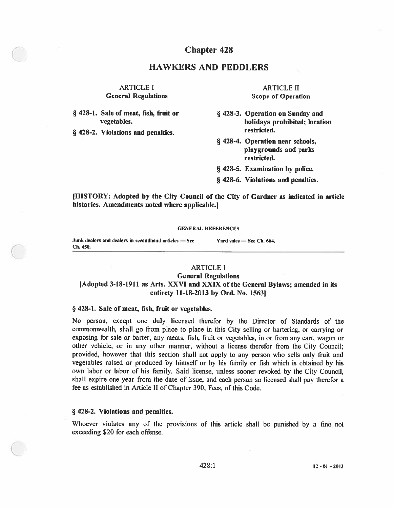## **Chapter 428**

## **HAWKERS AND PEDDLERS**

## **ARTICLE I General Regulations**

§ 428-1. Sale of meat, fish, fruit or vegetables.

§ 428-2. Violations and penalties.

**ARTICLE II Scope of Operation** 

§ 428-3. Operation on Sunday and holidays prohibited; location restricted.

- § 428-4. Operation near schools, playgrounds and parks restricted.
- § 428-5. Examination by police.
- § 428-6. Violations and penalties.

[HISTORY: Adopted by the City Council of the City of Gardner as indicated in article histories. Amendments noted where applicable.]

#### **GENERAL REFERENCES**

Junk dealers and dealers in secondhand articles - See Ch. 450.

Yard sales - See Ch. 664.

### **ARTICLE I General Regulations** [Adopted 3-18-1911 as Arts. XXVI and XXIX of the General Bylaws; amended in its entirety 11-18-2013 by Ord. No. 1563]

#### § 428-1. Sale of meat, fish, fruit or vegetables.

No person, except one duly licensed therefor by the Director of Standards of the commonwealth, shall go from place to place in this City selling or bartering, or carrying or exposing for sale or barter, any meats, fish, fruit or vegetables, in or from any cart, wagon or other vehicle, or in any other manner, without a license therefor from the City Council; provided, however that this section shall not apply to any person who sells only fruit and vegetables raised or produced by himself or by his family or fish which is obtained by his own labor or labor of his family. Said license, unless sooner revoked by the City Council, shall expire one year from the date of issue, and each person so licensed shall pay therefor a fee as established in Article II of Chapter 390, Fees, of this Code.

#### § 428-2. Violations and penalties.

Whoever violates any of the provisions of this article shall be punished by a fine not exceeding \$20 for each offense.